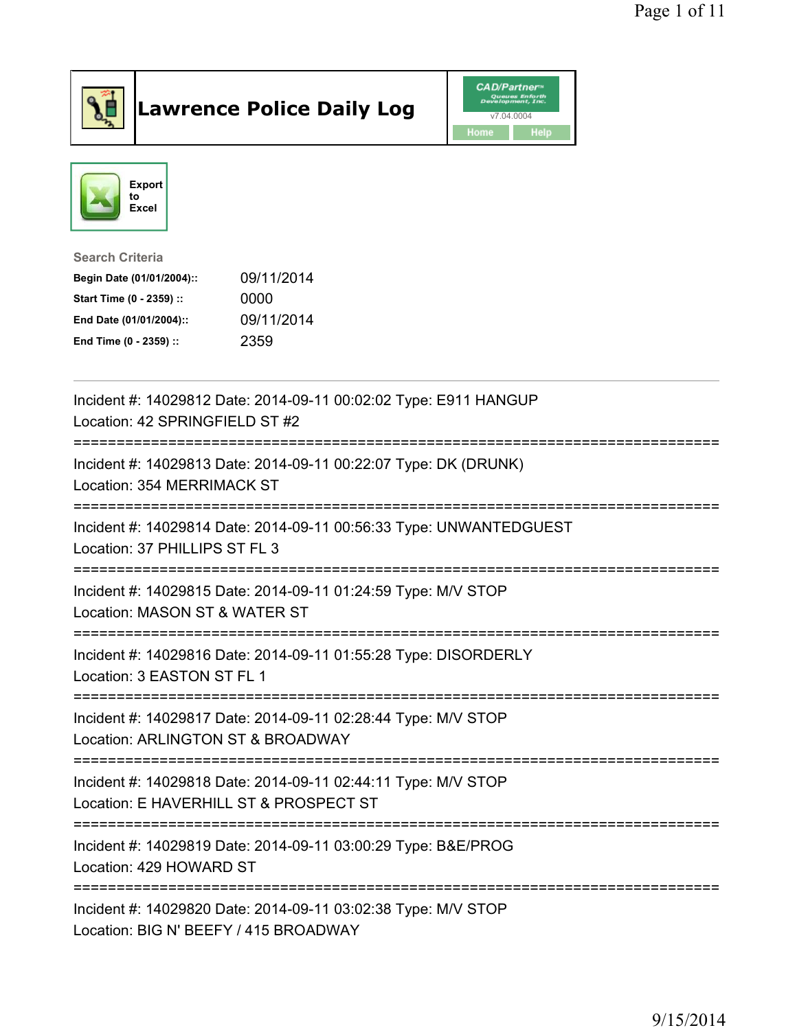

## Lawrence Police Daily Log Value of the CAD/Partner





Search Criteria

| Begin Date (01/01/2004):: | 09/11/2014 |
|---------------------------|------------|
| Start Time (0 - 2359) ::  | 0000       |
| End Date (01/01/2004)::   | 09/11/2014 |
| End Time (0 - 2359) ::    | 2359       |

| Incident #: 14029812 Date: 2014-09-11 00:02:02 Type: E911 HANGUP<br>Location: 42 SPRINGFIELD ST #2                                  |
|-------------------------------------------------------------------------------------------------------------------------------------|
| Incident #: 14029813 Date: 2014-09-11 00:22:07 Type: DK (DRUNK)<br>Location: 354 MERRIMACK ST                                       |
| Incident #: 14029814 Date: 2014-09-11 00:56:33 Type: UNWANTEDGUEST<br>Location: 37 PHILLIPS ST FL 3<br>-----------------            |
| Incident #: 14029815 Date: 2014-09-11 01:24:59 Type: M/V STOP<br>Location: MASON ST & WATER ST                                      |
| Incident #: 14029816 Date: 2014-09-11 01:55:28 Type: DISORDERLY<br>Location: 3 EASTON ST FL 1<br>---------------------------------- |
| Incident #: 14029817 Date: 2014-09-11 02:28:44 Type: M/V STOP<br>Location: ARLINGTON ST & BROADWAY                                  |
| Incident #: 14029818 Date: 2014-09-11 02:44:11 Type: M/V STOP<br>Location: E HAVERHILL ST & PROSPECT ST                             |
| Incident #: 14029819 Date: 2014-09-11 03:00:29 Type: B&E/PROG<br>Location: 429 HOWARD ST                                            |
| Incident #: 14029820 Date: 2014-09-11 03:02:38 Type: M/V STOP<br>Location: BIG N' BEEFY / 415 BROADWAY                              |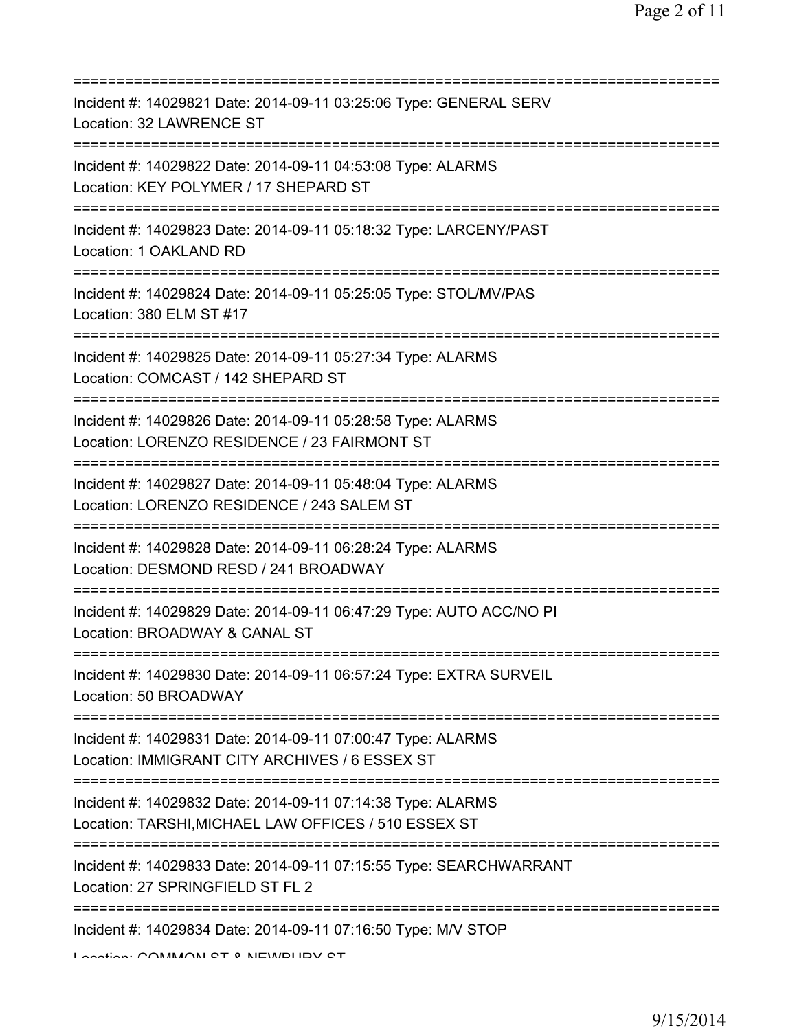| Incident #: 14029821 Date: 2014-09-11 03:25:06 Type: GENERAL SERV<br>Location: 32 LAWRENCE ST                                   |
|---------------------------------------------------------------------------------------------------------------------------------|
| Incident #: 14029822 Date: 2014-09-11 04:53:08 Type: ALARMS<br>Location: KEY POLYMER / 17 SHEPARD ST                            |
| Incident #: 14029823 Date: 2014-09-11 05:18:32 Type: LARCENY/PAST<br>Location: 1 OAKLAND RD                                     |
| Incident #: 14029824 Date: 2014-09-11 05:25:05 Type: STOL/MV/PAS<br>Location: 380 ELM ST #17                                    |
| Incident #: 14029825 Date: 2014-09-11 05:27:34 Type: ALARMS<br>Location: COMCAST / 142 SHEPARD ST                               |
| Incident #: 14029826 Date: 2014-09-11 05:28:58 Type: ALARMS<br>Location: LORENZO RESIDENCE / 23 FAIRMONT ST                     |
| Incident #: 14029827 Date: 2014-09-11 05:48:04 Type: ALARMS<br>Location: LORENZO RESIDENCE / 243 SALEM ST<br>================== |
| Incident #: 14029828 Date: 2014-09-11 06:28:24 Type: ALARMS<br>Location: DESMOND RESD / 241 BROADWAY                            |
| Incident #: 14029829 Date: 2014-09-11 06:47:29 Type: AUTO ACC/NO PI<br>Location: BROADWAY & CANAL ST                            |
| Incident #: 14029830 Date: 2014-09-11 06:57:24 Type: EXTRA SURVEIL<br>Location: 50 BROADWAY                                     |
| Incident #: 14029831 Date: 2014-09-11 07:00:47 Type: ALARMS<br>Location: IMMIGRANT CITY ARCHIVES / 6 ESSEX ST                   |
| Incident #: 14029832 Date: 2014-09-11 07:14:38 Type: ALARMS<br>Location: TARSHI, MICHAEL LAW OFFICES / 510 ESSEX ST             |
| Incident #: 14029833 Date: 2014-09-11 07:15:55 Type: SEARCHWARRANT<br>Location: 27 SPRINGFIELD ST FL 2                          |
| Incident #: 14029834 Date: 2014-09-11 07:16:50 Type: M/V STOP                                                                   |

Location: COMMONI CT & NEWBURY CT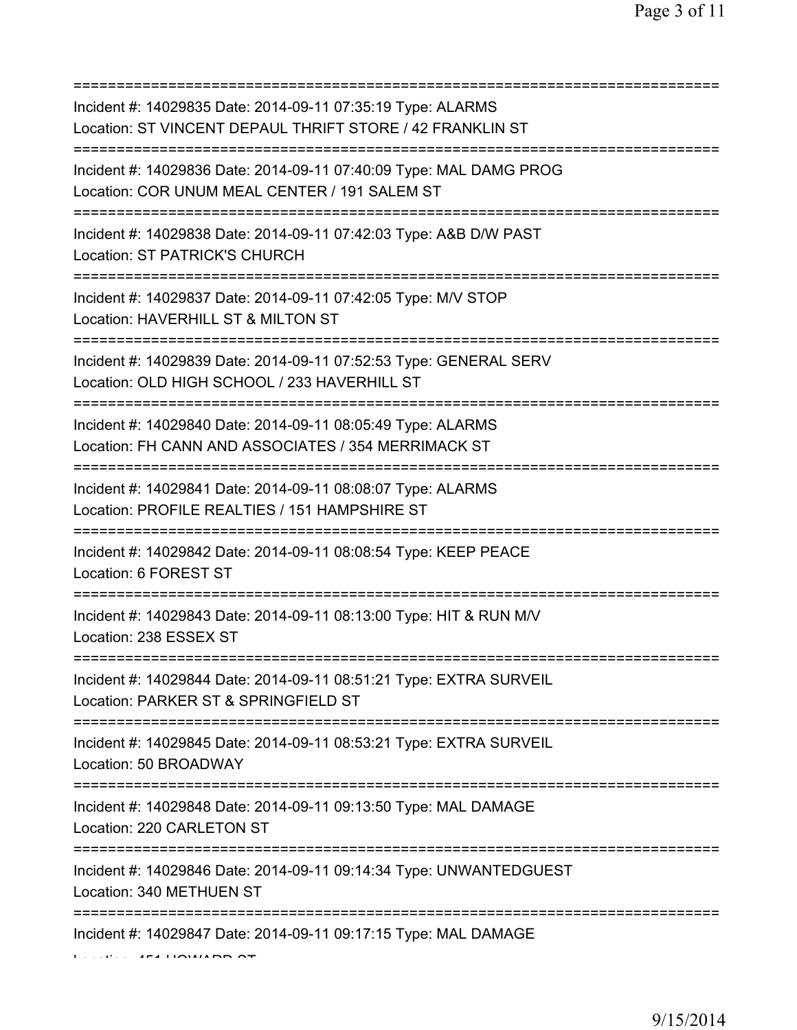| Incident #: 14029835 Date: 2014-09-11 07:35:19 Type: ALARMS<br>Location: ST VINCENT DEPAUL THRIFT STORE / 42 FRANKLIN ST                    |
|---------------------------------------------------------------------------------------------------------------------------------------------|
| Incident #: 14029836 Date: 2014-09-11 07:40:09 Type: MAL DAMG PROG<br>Location: COR UNUM MEAL CENTER / 191 SALEM ST                         |
| Incident #: 14029838 Date: 2014-09-11 07:42:03 Type: A&B D/W PAST<br>Location: ST PATRICK'S CHURCH                                          |
| Incident #: 14029837 Date: 2014-09-11 07:42:05 Type: M/V STOP<br>Location: HAVERHILL ST & MILTON ST                                         |
| ======================<br>Incident #: 14029839 Date: 2014-09-11 07:52:53 Type: GENERAL SERV<br>Location: OLD HIGH SCHOOL / 233 HAVERHILL ST |
| Incident #: 14029840 Date: 2014-09-11 08:05:49 Type: ALARMS<br>Location: FH CANN AND ASSOCIATES / 354 MERRIMACK ST                          |
| Incident #: 14029841 Date: 2014-09-11 08:08:07 Type: ALARMS<br>Location: PROFILE REALTIES / 151 HAMPSHIRE ST<br>===============             |
| Incident #: 14029842 Date: 2014-09-11 08:08:54 Type: KEEP PEACE<br>Location: 6 FOREST ST                                                    |
| Incident #: 14029843 Date: 2014-09-11 08:13:00 Type: HIT & RUN M/V<br>Location: 238 ESSEX ST                                                |
| Incident #: 14029844 Date: 2014-09-11 08:51:21 Type: EXTRA SURVEIL<br>Location: PARKER ST & SPRINGFIELD ST                                  |
| Incident #: 14029845 Date: 2014-09-11 08:53:21 Type: EXTRA SURVEIL<br>Location: 50 BROADWAY                                                 |
| Incident #: 14029848 Date: 2014-09-11 09:13:50 Type: MAL DAMAGE<br>Location: 220 CARLETON ST                                                |
| Incident #: 14029846 Date: 2014-09-11 09:14:34 Type: UNWANTEDGUEST<br>Location: 340 METHUEN ST                                              |
| =====================================<br>Incident #: 14029847 Date: 2014-09-11 09:17:15 Type: MAL DAMAGE                                    |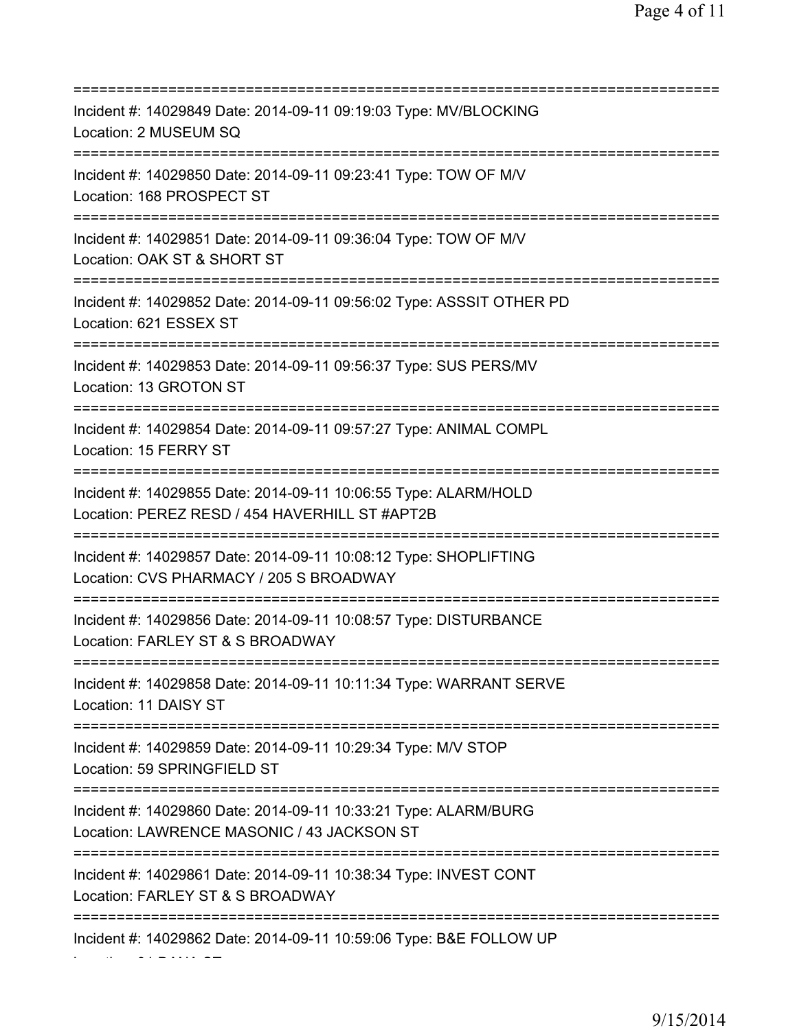=========================================================================== Incident #: 14029849 Date: 2014-09-11 09:19:03 Type: MV/BLOCKING Location: 2 MUSEUM SQ =========================================================================== Incident #: 14029850 Date: 2014-09-11 09:23:41 Type: TOW OF M/V Location: 168 PROSPECT ST =========================================================================== Incident #: 14029851 Date: 2014-09-11 09:36:04 Type: TOW OF M/V Location: OAK ST & SHORT ST =========================================================================== Incident #: 14029852 Date: 2014-09-11 09:56:02 Type: ASSSIT OTHER PD Location: 621 ESSEX ST =========================================================================== Incident #: 14029853 Date: 2014-09-11 09:56:37 Type: SUS PERS/MV Location: 13 GROTON ST =========================================================================== Incident #: 14029854 Date: 2014-09-11 09:57:27 Type: ANIMAL COMPL Location: 15 FERRY ST =========================================================================== Incident #: 14029855 Date: 2014-09-11 10:06:55 Type: ALARM/HOLD Location: PEREZ RESD / 454 HAVERHILL ST #APT2B =========================================================================== Incident #: 14029857 Date: 2014-09-11 10:08:12 Type: SHOPLIFTING Location: CVS PHARMACY / 205 S BROADWAY =========================================================================== Incident #: 14029856 Date: 2014-09-11 10:08:57 Type: DISTURBANCE Location: FARLEY ST & S BROADWAY =========================================================================== Incident #: 14029858 Date: 2014-09-11 10:11:34 Type: WARRANT SERVE Location: 11 DAISY ST =========================================================================== Incident #: 14029859 Date: 2014-09-11 10:29:34 Type: M/V STOP Location: 59 SPRINGFIELD ST =========================================================================== Incident #: 14029860 Date: 2014-09-11 10:33:21 Type: ALARM/BURG Location: LAWRENCE MASONIC / 43 JACKSON ST =========================================================================== Incident #: 14029861 Date: 2014-09-11 10:38:34 Type: INVEST CONT Location: FARLEY ST & S BROADWAY =========================================================================== Incident #: 14029862 Date: 2014-09-11 10:59:06 Type: B&E FOLLOW UP

Location: 31 DANA ST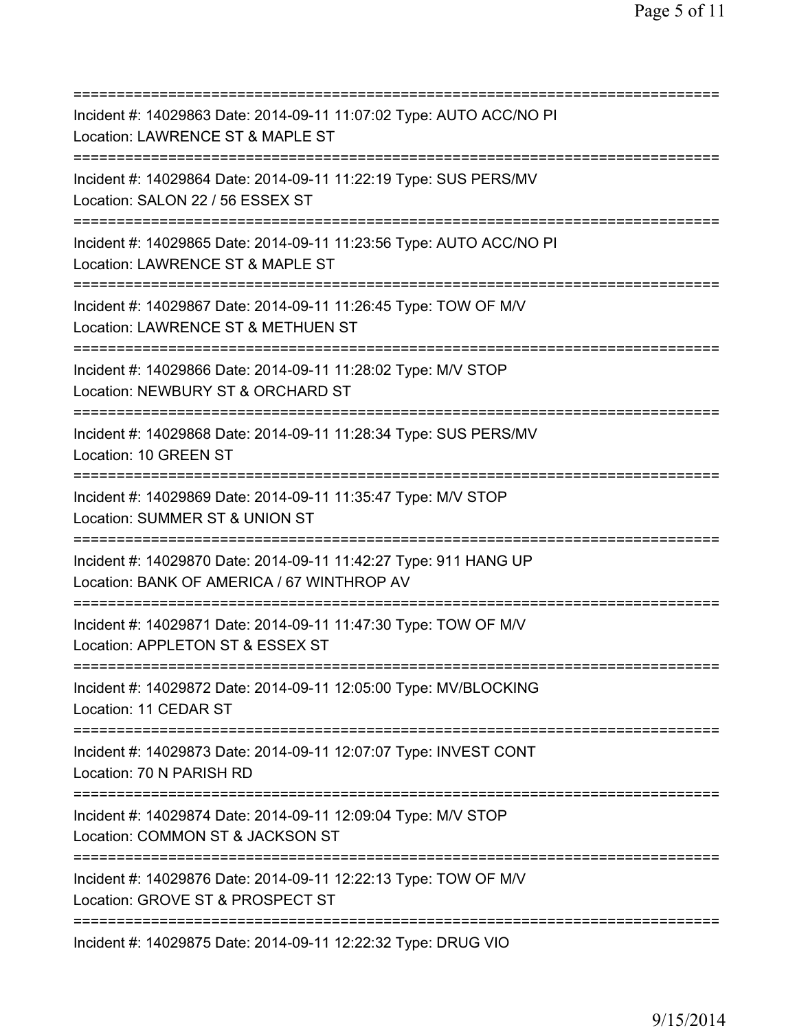=========================================================================== Incident #: 14029863 Date: 2014-09-11 11:07:02 Type: AUTO ACC/NO PI Location: LAWRENCE ST & MAPLE ST =========================================================================== Incident #: 14029864 Date: 2014-09-11 11:22:19 Type: SUS PERS/MV Location: SALON 22 / 56 ESSEX ST =========================================================================== Incident #: 14029865 Date: 2014-09-11 11:23:56 Type: AUTO ACC/NO PI Location: LAWRENCE ST & MAPLE ST =========================================================================== Incident #: 14029867 Date: 2014-09-11 11:26:45 Type: TOW OF M/V Location: LAWRENCE ST & METHUEN ST =========================================================================== Incident #: 14029866 Date: 2014-09-11 11:28:02 Type: M/V STOP Location: NEWBURY ST & ORCHARD ST =========================================================================== Incident #: 14029868 Date: 2014-09-11 11:28:34 Type: SUS PERS/MV Location: 10 GREEN ST =========================================================================== Incident #: 14029869 Date: 2014-09-11 11:35:47 Type: M/V STOP Location: SUMMER ST & UNION ST =========================================================================== Incident #: 14029870 Date: 2014-09-11 11:42:27 Type: 911 HANG UP Location: BANK OF AMERICA / 67 WINTHROP AV =========================================================================== Incident #: 14029871 Date: 2014-09-11 11:47:30 Type: TOW OF M/V Location: APPLETON ST & ESSEX ST =========================================================================== Incident #: 14029872 Date: 2014-09-11 12:05:00 Type: MV/BLOCKING Location: 11 CEDAR ST =========================================================================== Incident #: 14029873 Date: 2014-09-11 12:07:07 Type: INVEST CONT Location: 70 N PARISH RD =========================================================================== Incident #: 14029874 Date: 2014-09-11 12:09:04 Type: M/V STOP Location: COMMON ST & JACKSON ST =========================================================================== Incident #: 14029876 Date: 2014-09-11 12:22:13 Type: TOW OF M/V Location: GROVE ST & PROSPECT ST =========================================================================== Incident #: 14029875 Date: 2014-09-11 12:22:32 Type: DRUG VIO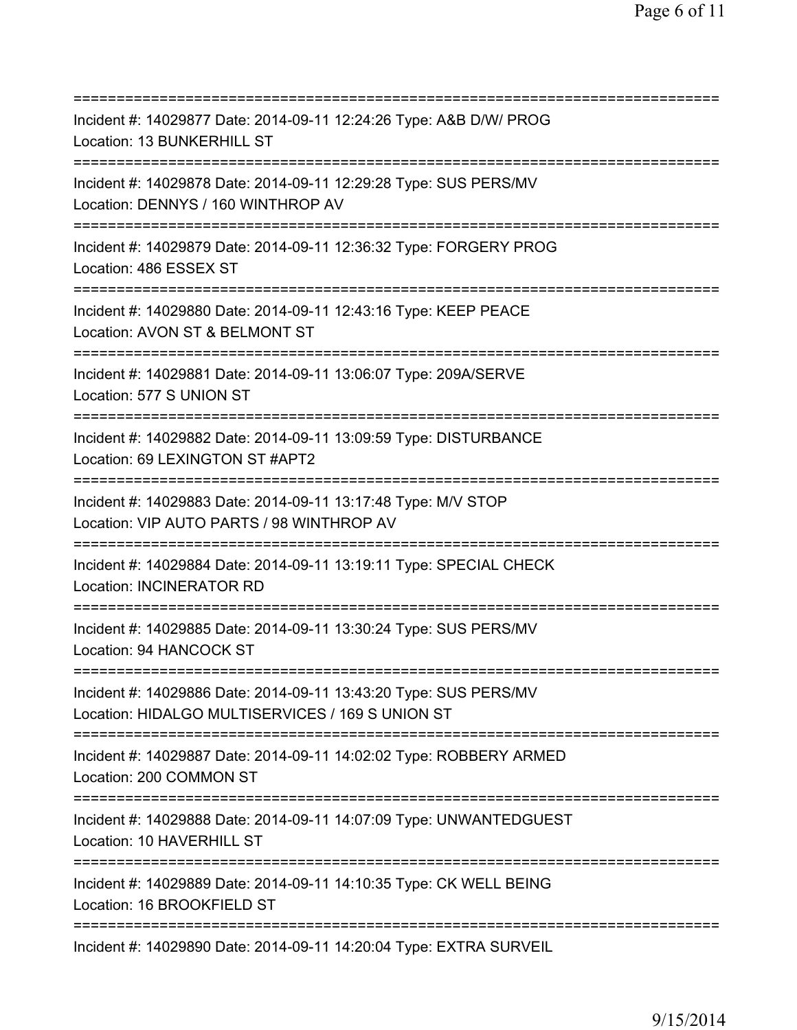| Incident #: 14029877 Date: 2014-09-11 12:24:26 Type: A&B D/W/ PROG<br>Location: 13 BUNKERHILL ST                                   |
|------------------------------------------------------------------------------------------------------------------------------------|
| Incident #: 14029878 Date: 2014-09-11 12:29:28 Type: SUS PERS/MV<br>Location: DENNYS / 160 WINTHROP AV<br>======================== |
| Incident #: 14029879 Date: 2014-09-11 12:36:32 Type: FORGERY PROG<br>Location: 486 ESSEX ST                                        |
| Incident #: 14029880 Date: 2014-09-11 12:43:16 Type: KEEP PEACE<br>Location: AVON ST & BELMONT ST                                  |
| Incident #: 14029881 Date: 2014-09-11 13:06:07 Type: 209A/SERVE<br>Location: 577 S UNION ST<br>.=================================  |
| Incident #: 14029882 Date: 2014-09-11 13:09:59 Type: DISTURBANCE<br>Location: 69 LEXINGTON ST #APT2                                |
| Incident #: 14029883 Date: 2014-09-11 13:17:48 Type: M/V STOP<br>Location: VIP AUTO PARTS / 98 WINTHROP AV                         |
| Incident #: 14029884 Date: 2014-09-11 13:19:11 Type: SPECIAL CHECK<br>Location: INCINERATOR RD                                     |
| Incident #: 14029885 Date: 2014-09-11 13:30:24 Type: SUS PERS/MV<br>Location: 94 HANCOCK ST                                        |
| Incident #: 14029886 Date: 2014-09-11 13:43:20 Type: SUS PERS/MV<br>Location: HIDALGO MULTISERVICES / 169 S UNION ST               |
| Incident #: 14029887 Date: 2014-09-11 14:02:02 Type: ROBBERY ARMED<br>Location: 200 COMMON ST                                      |
| Incident #: 14029888 Date: 2014-09-11 14:07:09 Type: UNWANTEDGUEST<br>Location: 10 HAVERHILL ST                                    |
| Incident #: 14029889 Date: 2014-09-11 14:10:35 Type: CK WELL BEING<br>Location: 16 BROOKFIELD ST<br>===========                    |
| Incident #: 14029890 Date: 2014-09-11 14:20:04 Type: EXTRA SURVEIL                                                                 |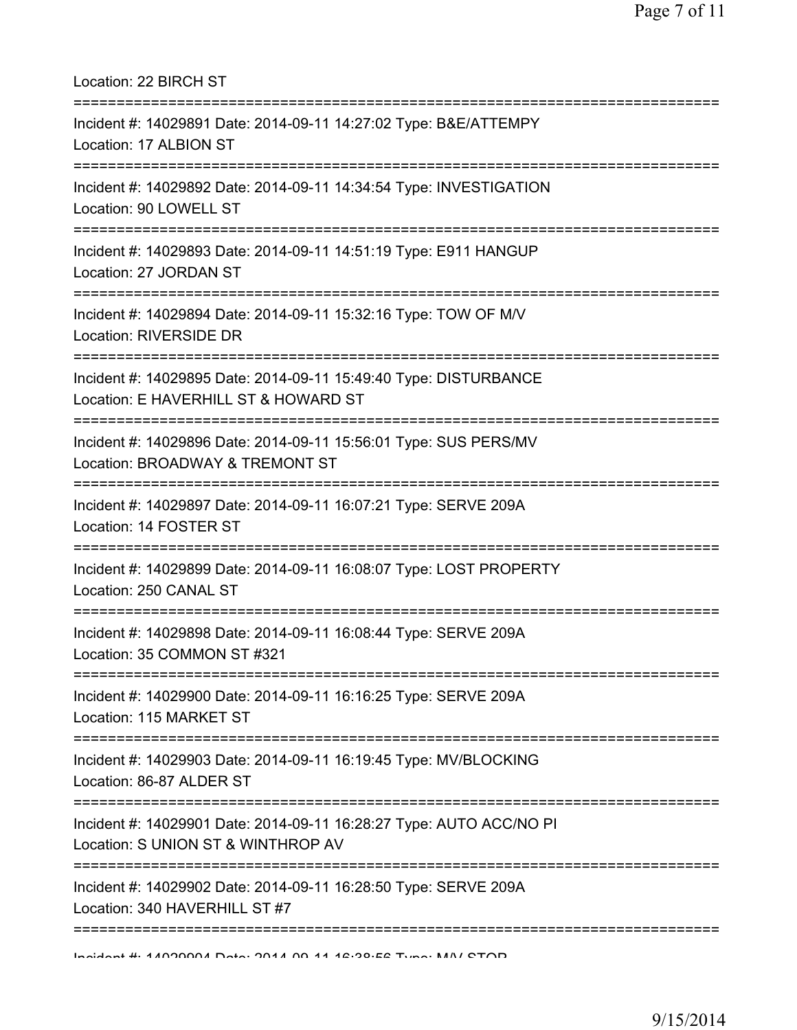| Location: 22 BIRCH ST<br>===================                                                                                                                     |
|------------------------------------------------------------------------------------------------------------------------------------------------------------------|
| Incident #: 14029891 Date: 2014-09-11 14:27:02 Type: B&E/ATTEMPY<br>Location: 17 ALBION ST<br>===================================                                |
| Incident #: 14029892 Date: 2014-09-11 14:34:54 Type: INVESTIGATION<br>Location: 90 LOWELL ST<br>-----------------------------------<br>------------------------- |
| Incident #: 14029893 Date: 2014-09-11 14:51:19 Type: E911 HANGUP<br>Location: 27 JORDAN ST                                                                       |
| :==================================<br>==========================<br>Incident #: 14029894 Date: 2014-09-11 15:32:16 Type: TOW OF M/V<br>Location: RIVERSIDE DR   |
| Incident #: 14029895 Date: 2014-09-11 15:49:40 Type: DISTURBANCE<br>Location: E HAVERHILL ST & HOWARD ST                                                         |
| Incident #: 14029896 Date: 2014-09-11 15:56:01 Type: SUS PERS/MV<br>Location: BROADWAY & TREMONT ST                                                              |
| Incident #: 14029897 Date: 2014-09-11 16:07:21 Type: SERVE 209A<br>Location: 14 FOSTER ST                                                                        |
| Incident #: 14029899 Date: 2014-09-11 16:08:07 Type: LOST PROPERTY<br>Location: 250 CANAL ST                                                                     |
| Incident #: 14029898 Date: 2014-09-11 16:08:44 Type: SERVE 209A<br>Location: 35 COMMON ST #321                                                                   |
| ==================================<br>Incident #: 14029900 Date: 2014-09-11 16:16:25 Type: SERVE 209A<br>Location: 115 MARKET ST                                 |
| ===========================<br>Incident #: 14029903 Date: 2014-09-11 16:19:45 Type: MV/BLOCKING<br>Location: 86-87 ALDER ST                                      |
| Incident #: 14029901 Date: 2014-09-11 16:28:27 Type: AUTO ACC/NO PI<br>Location: S UNION ST & WINTHROP AV                                                        |
| -------------<br>Incident #: 14029902 Date: 2014-09-11 16:28:50 Type: SERVE 209A<br>Location: 340 HAVERHILL ST #7                                                |
| Indidnat #: 4 ANDONAN Data: 004 A NO 44 42:00.EQ Tunn: NAN/ QTOD                                                                                                 |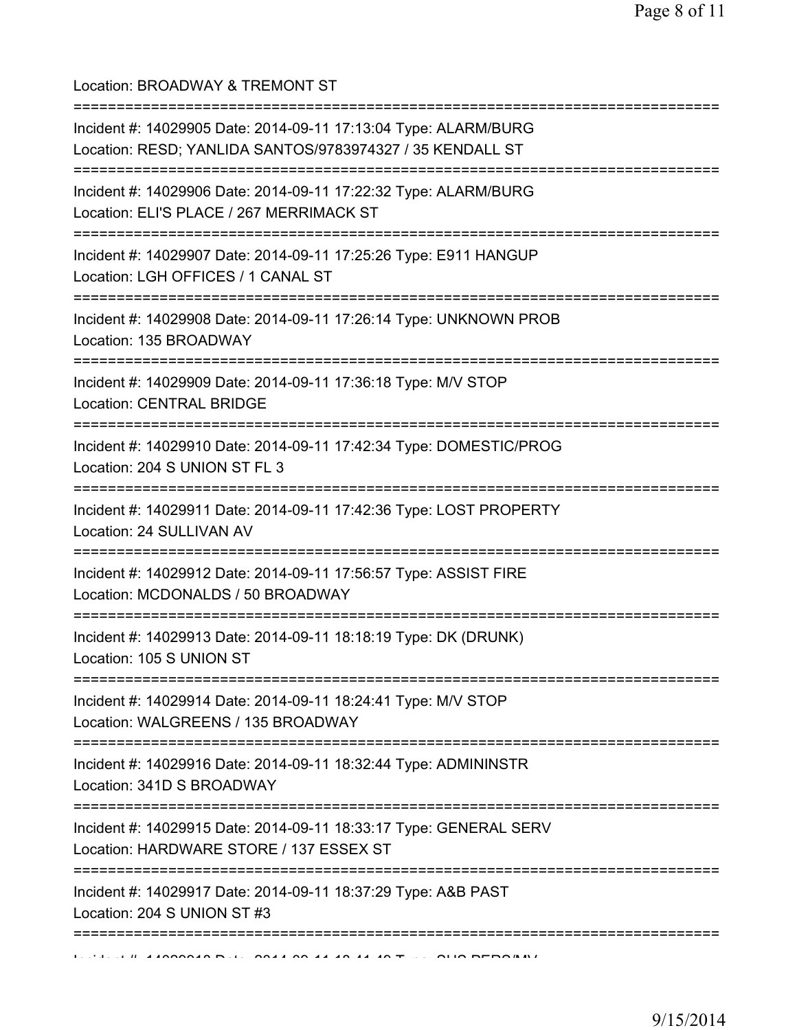Location: BROADWAY & TREMONT ST =========================================================================== Incident #: 14029905 Date: 2014-09-11 17:13:04 Type: ALARM/BURG Location: RESD; YANLIDA SANTOS/9783974327 / 35 KENDALL ST =========================================================================== Incident #: 14029906 Date: 2014-09-11 17:22:32 Type: ALARM/BURG Location: ELI'S PLACE / 267 MERRIMACK ST =========================================================================== Incident #: 14029907 Date: 2014-09-11 17:25:26 Type: E911 HANGUP Location: LGH OFFICES / 1 CANAL ST =========================================================================== Incident #: 14029908 Date: 2014-09-11 17:26:14 Type: UNKNOWN PROB Location: 135 BROADWAY =========================================================================== Incident #: 14029909 Date: 2014-09-11 17:36:18 Type: M/V STOP Location: CENTRAL BRIDGE =========================================================================== Incident #: 14029910 Date: 2014-09-11 17:42:34 Type: DOMESTIC/PROG Location: 204 S UNION ST FL 3 =========================================================================== Incident #: 14029911 Date: 2014-09-11 17:42:36 Type: LOST PROPERTY Location: 24 SULLIVAN AV =========================================================================== Incident #: 14029912 Date: 2014-09-11 17:56:57 Type: ASSIST FIRE Location: MCDONALDS / 50 BROADWAY =========================================================================== Incident #: 14029913 Date: 2014-09-11 18:18:19 Type: DK (DRUNK) Location: 105 S UNION ST =========================================================================== Incident #: 14029914 Date: 2014-09-11 18:24:41 Type: M/V STOP Location: WALGREENS / 135 BROADWAY =========================================================================== Incident #: 14029916 Date: 2014-09-11 18:32:44 Type: ADMININSTR Location: 341D S BROADWAY =========================================================================== Incident #: 14029915 Date: 2014-09-11 18:33:17 Type: GENERAL SERV Location: HARDWARE STORE / 137 ESSEX ST ===========================================================================

Incident #: 14029917 Date: 2014-09-11 18:37:29 Type: A&B PAST Location: 204 S UNION ST #3

===========================================================================

 $1.1414999949 \text{ D}^{-1}$ : 2014 09 11 19 11 19: $\overline{1}$ :: SUS PERS/MV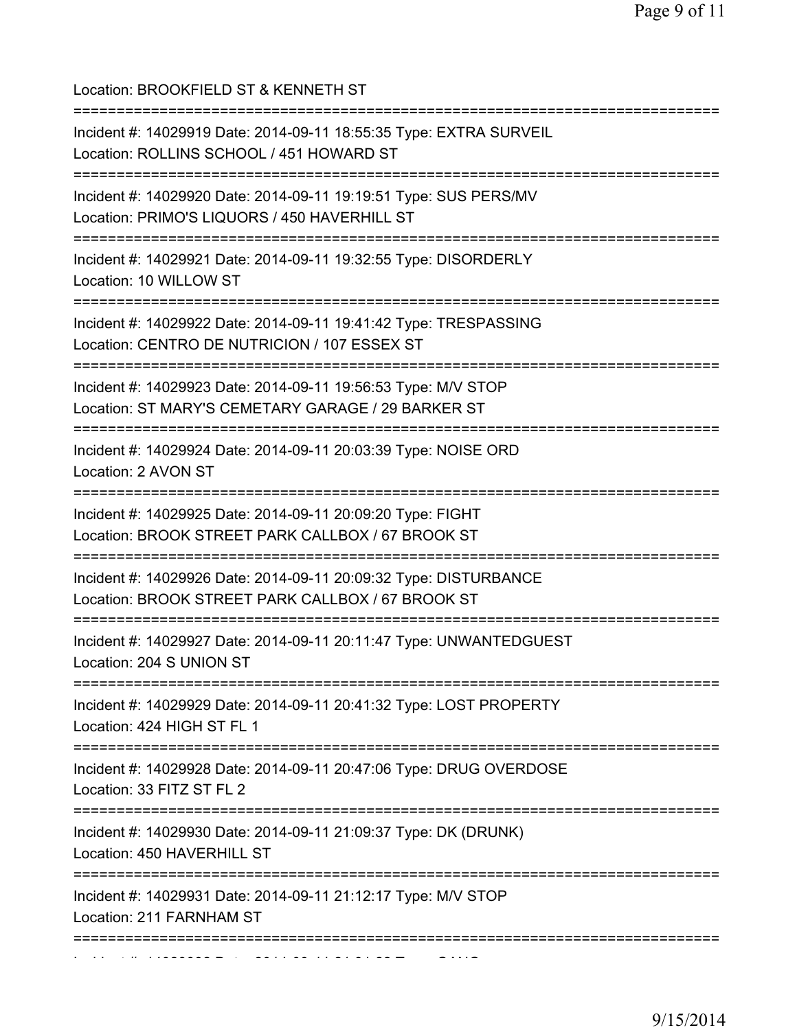| Location: BROOKFIELD ST & KENNETH ST<br>==========================                                                    |
|-----------------------------------------------------------------------------------------------------------------------|
| Incident #: 14029919 Date: 2014-09-11 18:55:35 Type: EXTRA SURVEIL<br>Location: ROLLINS SCHOOL / 451 HOWARD ST        |
| Incident #: 14029920 Date: 2014-09-11 19:19:51 Type: SUS PERS/MV<br>Location: PRIMO'S LIQUORS / 450 HAVERHILL ST      |
| Incident #: 14029921 Date: 2014-09-11 19:32:55 Type: DISORDERLY<br>Location: 10 WILLOW ST                             |
| Incident #: 14029922 Date: 2014-09-11 19:41:42 Type: TRESPASSING<br>Location: CENTRO DE NUTRICION / 107 ESSEX ST      |
| Incident #: 14029923 Date: 2014-09-11 19:56:53 Type: M/V STOP<br>Location: ST MARY'S CEMETARY GARAGE / 29 BARKER ST   |
| Incident #: 14029924 Date: 2014-09-11 20:03:39 Type: NOISE ORD<br>Location: 2 AVON ST                                 |
| Incident #: 14029925 Date: 2014-09-11 20:09:20 Type: FIGHT<br>Location: BROOK STREET PARK CALLBOX / 67 BROOK ST       |
| Incident #: 14029926 Date: 2014-09-11 20:09:32 Type: DISTURBANCE<br>Location: BROOK STREET PARK CALLBOX / 67 BROOK ST |
| Incident #: 14029927 Date: 2014-09-11 20:11:47 Type: UNWANTEDGUEST<br>Location: 204 S UNION ST                        |
| Incident #: 14029929 Date: 2014-09-11 20:41:32 Type: LOST PROPERTY<br>Location: 424 HIGH ST FL 1                      |
| Incident #: 14029928 Date: 2014-09-11 20:47:06 Type: DRUG OVERDOSE<br>Location: 33 FITZ ST FL 2                       |
| Incident #: 14029930 Date: 2014-09-11 21:09:37 Type: DK (DRUNK)<br>Location: 450 HAVERHILL ST                         |
| Incident #: 14029931 Date: 2014-09-11 21:12:17 Type: M/V STOP<br>Location: 211 FARNHAM ST                             |
|                                                                                                                       |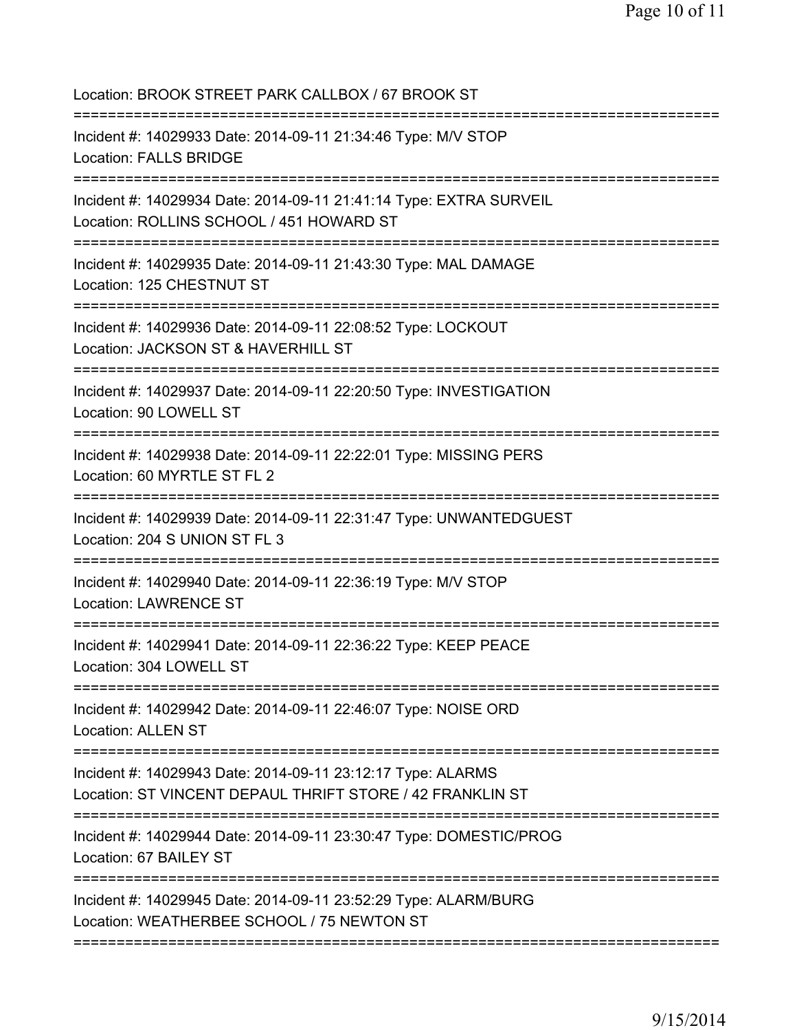Location: BROOK STREET PARK CALLBOX / 67 BROOK ST =========================================================================== Incident #: 14029933 Date: 2014-09-11 21:34:46 Type: M/V STOP Location: FALLS BRIDGE =========================================================================== Incident #: 14029934 Date: 2014-09-11 21:41:14 Type: EXTRA SURVEIL Location: ROLLINS SCHOOL / 451 HOWARD ST =========================================================================== Incident #: 14029935 Date: 2014-09-11 21:43:30 Type: MAL DAMAGE Location: 125 CHESTNUT ST =========================================================================== Incident #: 14029936 Date: 2014-09-11 22:08:52 Type: LOCKOUT Location: JACKSON ST & HAVERHILL ST =========================================================================== Incident #: 14029937 Date: 2014-09-11 22:20:50 Type: INVESTIGATION Location: 90 LOWELL ST =========================================================================== Incident #: 14029938 Date: 2014-09-11 22:22:01 Type: MISSING PERS Location: 60 MYRTLE ST FL 2 =========================================================================== Incident #: 14029939 Date: 2014-09-11 22:31:47 Type: UNWANTEDGUEST Location: 204 S UNION ST FL 3 =========================================================================== Incident #: 14029940 Date: 2014-09-11 22:36:19 Type: M/V STOP Location: LAWRENCE ST =========================================================================== Incident #: 14029941 Date: 2014-09-11 22:36:22 Type: KEEP PEACE Location: 304 LOWELL ST =========================================================================== Incident #: 14029942 Date: 2014-09-11 22:46:07 Type: NOISE ORD Location: ALLEN ST =========================================================================== Incident #: 14029943 Date: 2014-09-11 23:12:17 Type: ALARMS Location: ST VINCENT DEPAUL THRIFT STORE / 42 FRANKLIN ST =========================================================================== Incident #: 14029944 Date: 2014-09-11 23:30:47 Type: DOMESTIC/PROG Location: 67 BAILEY ST =========================================================================== Incident #: 14029945 Date: 2014-09-11 23:52:29 Type: ALARM/BURG Location: WEATHERBEE SCHOOL / 75 NEWTON ST ===========================================================================